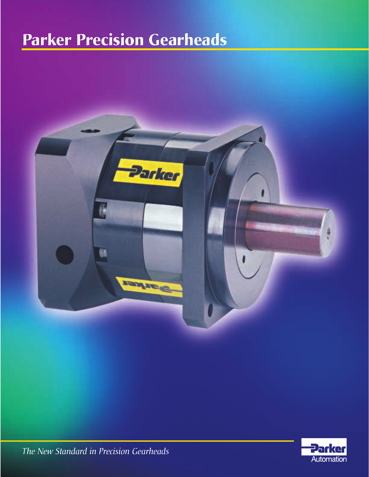## **Parker Precision Gearheads**





*The New Standard in Precision Gearheads*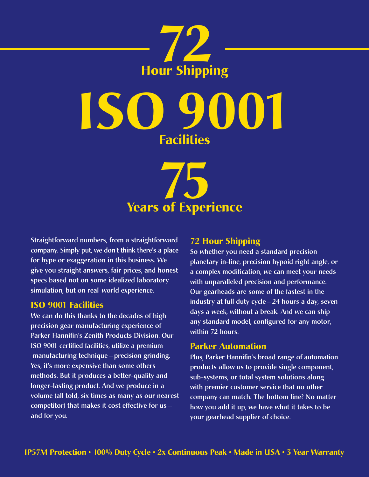

**ISO 9001 Facilities**



**Straightforward numbers, from a straightforward company. Simply put, we don't think there's a place for hype or exaggeration in this business. We give you straight answers, fair prices, and honest specs based not on some idealized laboratory simulation, but on real-world experience.**

#### **ISO 9001 Facilities**

**We can do this thanks to the decades of high precision gear manufacturing experience of Parker Hannifin's Zenith Products Division. Our ISO 9001 certified facilities, utilize a premium manufacturing technique —precision grinding. Yes, it's more expensive than some others methods. But it produces a better-quality and longer-lasting product. And we produce in a volume (all told, six times as many as our nearest competitor) that makes it cost effective for us and for you.** 

#### **72 Hour Shipping**

**So whether you need a standard precision planetary in-line, precision hypoid right angle, or a complex modification, we can meet your needs with unparalleled precision and performance. Our gearheads are some of the fastest in the industry at full duty cycle —24 hours a day, seven days a week, without a break. And we can ship any standard model, configured for any motor, within 72 hours.**

#### **Parker Automation**

**Plus, Parker Hannifin's broad range of automation products allow us to provide single component, sub-systems, or total system solutions along with premier customer service that no other company can match. The bottom line? No matter how you add it up, we have what it takes to be your gearhead supplier of choice.**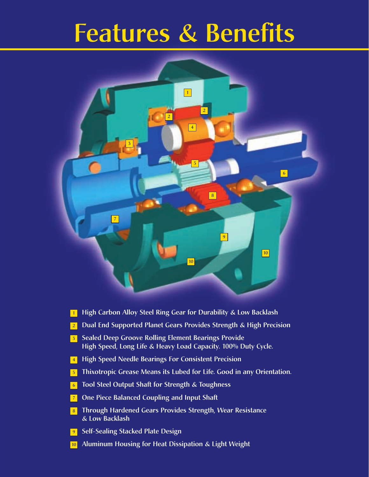# **Features & Benefits**



- **High Carbon Alloy Steel Ring Gear for Durability & Low Backlash**
- **Dual End Supported Planet Gears Provides Strength & High Precision**
- **Sealed Deep Groove Rolling Element Bearings Provide High Speed, Long Life & Heavy Load Capacity. 100% Duty Cycle.**
- **High Speed Needle Bearings For Consistent Precision**
- **Thixotropic Grease Means its Lubed for Life. Good in any Orientation.**
- **Tool Steel Output Shaft for Strength & Toughness**
- **One Piece Balanced Coupling and Input Shaft**
- **Through Hardened Gears Provides Strength, Wear Resistance & Low Backlash**
- **Self-Sealing Stacked Plate Design**
- **Aluminum Housing for Heat Dissipation & Light Weight**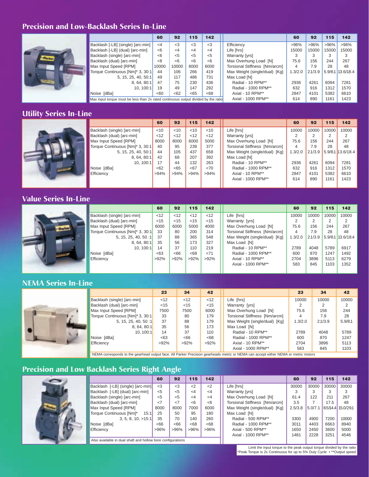#### **Precision and Low-Backlash Series In-Line**



|                                                                                    | 60                 | 92       | 115   | 142      |                               | 60      | 92      | 115     | 142       |
|------------------------------------------------------------------------------------|--------------------|----------|-------|----------|-------------------------------|---------|---------|---------|-----------|
| Backlash [-LB] (single) [arc-min]                                                  | $\leq$ 4           | <3       | <3    | <3       | Efficiency                    | >96%    | >96%    | >96%    | >96%      |
| Backlash [-LB] (dual) [arc-min]                                                    | <6                 | $\leq$ 4 | <4    | $\leq$ 4 | Life [hrs]                    | 15000   | 15000   | 15000   | 15000     |
| Backlash (single) [arc-min]                                                        | <6                 | $<$ 5    | $<$ 5 | $<$ 5    | Warranty [yrs]                |         | 3       | 3       |           |
| Backlash (dual) [arc-min]                                                          | <8                 | <6       | <6    | <6       | Max Overhung Load [N]         | 75.6    | 156     | 244     | 267       |
| Max Input Speed [RPM]                                                              | 10000              | 10000    | 8000  | 6000     | Torsional Stiffness [Nm/arcm] | 4       | 7.9     | 28      | 48        |
| Torque Continuous [Nm]* 3, 30:1                                                    | 44                 | 106      | 266   | 419      | Max Weight (single/dual) [Kg] | 1.3/2.0 | 2.1/3.9 | 5.9/8.1 | 13.6/18.4 |
| 5, 15, 25, 40, 50:1                                                                | 49                 | 117      | 486   | 731      | Max Load IN1                  |         |         |         |           |
| 8, 64, 80:1                                                                        | 47                 | 75       | 230   | 436      | Radial - 10 RPM**             | 2936    | 4261    | 6094    | 7281      |
| 10. 100:1                                                                          | 19                 | 49       | 147   | 292      | Radial - 1000 RPM**           | 632     | 916     | 1312    | 1570      |
| Noise [dBa]                                                                        | <60                | <62      | < 65  | <68      | Axial - 10 RPM**              | 2847    | 4101    | 5382    | 6610      |
| Max input torque must be less than 2x rated continuous output divided by the ratio | Axial - 1000 RPM** | 614      | 890   | 1161     | 1423                          |         |         |         |           |

#### **Utility Series In-Line**



|                                 | 60                                                     | 92     | 115    | 142    |                               | 60      | 92      | 115   | 142               |
|---------------------------------|--------------------------------------------------------|--------|--------|--------|-------------------------------|---------|---------|-------|-------------------|
| Backlash (single) [arc-min]     | < 10                                                   | $<$ 10 | $<$ 10 | 10<    | Life [hrs]                    | 10000   | 10000   | 10000 | 10000             |
| Backlash (dual) [arc-min]       | <12                                                    | < 12   | < 12   | $<$ 12 | <b>Warranty [yrs]</b>         | 2       |         | 2     |                   |
| Max Input Speed [RPM]           | 8000                                                   | 8000   | 6000   | 5000   | Max Overhung Load [N]         | 75.6    | 156     | 244   | 267               |
| Torque Continuous [Nm]* 3, 30:1 | 40                                                     | 95     | 239    | 377    | Torsional Stiffness [Nm/arcm] | 4       | 7.9     | 28    | 48                |
| 5, 15, 25, 40, 50:1             | 44                                                     | 105    | 437    | 658    | Max Weight (single/dual) [Kg] | 1.3/2.0 | 2.1/3.9 |       | 5.9/8.1 13.6/18.4 |
| 8, 64, 80:1                     | 42                                                     | 68     | 207    | 392    | Max Load [N]                  |         |         |       |                   |
| 10. 100:1                       | 17                                                     | 44     | 132    | 263    | Radial - 10 RPM**             | 2936    | 4261    | 6094  | 7281              |
| Noise [dBa]                     | <62                                                    | <65    | < 67   | <70    | Radial - 1000 RPM**           | 632     | 916     | 1312  | 1570              |
| Efficiency                      | $>94\%$<br>Axial - 10 RPM**<br>>94%<br>>94%<br>$>94\%$ |        |        | 2847   | 4101                          | 5382    | 6610    |       |                   |
|                                 |                                                        |        |        |        | Axial - 1000 RPM**            | 614     | 890     | 1161  | 1423              |
|                                 |                                                        |        |        |        |                               |         |         |       |                   |

#### **Value Series In-Line**



|                                 | 60      | 92      | 115     | 142     |                               | 60      | 92      | 115   | 142               |
|---------------------------------|---------|---------|---------|---------|-------------------------------|---------|---------|-------|-------------------|
| Backlash (single) [arc-min]     | < 12    | < 12    | $<$ 12  | < 12    | Life [hrs]                    | 10000   | 10000   | 10000 | 10000             |
| Backlash (dual) [arc-min]       | < 15    | < 15    | $<$ 15  | < 15    | Warranty [yrs]                |         |         | 2     |                   |
| Max Input Speed [RPM]           | 6000    | 6000    | 5000    | 4000    | Max Overhung Load [N]         | 75.6    | 156     | 244   | 267               |
| Torque Continuous [Nm]* 3, 30:1 | 33      | 80      | 200     | 314     | Torsional Stiffness [Nm/arcm] | 4       | 7.9     | 28    | 48                |
| 5, 15, 25, 40, 50:1             | 37      | 88      | 365     | 548     | Max Weight (single/dual) [Kg] | 1.3/2.0 | 2.1/3.9 |       | 5.9/8.1 13.6/18.4 |
| 8, 64, 80:1                     | 35      | 56      | 173     | 327     | Max Load [N]                  |         |         |       |                   |
| 10. 100:1                       | 14      | 37      | 110     | 219     | Radial - 10 RPM**             | 2789    | 4048    | 5789  | 6917              |
| Noise [dBa]                     | <63     | <66     | <68     | < 71    | Radial - 1000 RPM**           | 600     | 870     | 1247  | 1492              |
| Efficiency                      | $>92\%$ | $>92\%$ | $>92\%$ | $>92\%$ | Axial - 10 RPM**              | 2704    | 3896    | 5113  | 6279              |
|                                 |         |         |         |         | Axial - 1000 RPM**            | 583     | 845     | 1103  | 1352              |
|                                 |         |         |         |         |                               |         |         |       |                   |

#### **NEMA Series In-Line**



|                                 | 23      | 34   | 42      |                               | 23      | 34      | 42      |
|---------------------------------|---------|------|---------|-------------------------------|---------|---------|---------|
| Backlash (single) [arc-min]     | < 12    | < 12 | < 12    | Life [hrs]                    | 10000   | 10000   | 10000   |
| Backlash (dual) [arc-min]       | < 15    | < 15 | $<$ 15  | Warranty [yrs]                |         |         |         |
| Max Input Speed [RPM]           | 7500    | 7500 | 6000    | Max Overhung Load [N]         | 75.6    | 156     | 244     |
| Torque Continuous [Nm]* 3, 30:1 | 33      | 80   | 179     | Torsional Stiffness [Nm/arcm] | 4       | 7.9     | 28      |
| 5, 15, 25, 40, 50:1             | 37      | 88   | 179     | Max Weight (single/dual) [Kg] | 1.3/2.0 | 2.1/3.9 | 5.9/8.1 |
| 8.64.80:1                       | 35      | 56   | 173     | Max Load [N]                  |         |         |         |
| 10.100:1                        | 14      | 37   | 110     | Radial - 10 RPM**             | 2789    | 4048    | 5789    |
| Noise [dBa]                     | <63     | <66  | <68     | Radial - 1000 RPM**           | 600     | 870     | 1247    |
| Efficiency                      | $>92\%$ | >92% | $>92\%$ | Axial - 10 RPM**              | 2704    | 3896    | 5113    |
|                                 |         |      |         | Axial - 1000 RPM**            | 583     | 845     | 1103    |

NEMA corresponds to the gearhead output face. All Parker Precision gearheads metric or NEMA can accept either NEMA or metric motors

## **Precision and Low Backlash Series Right Angle**



|                                                             | o                                 |          | o        |          |          |                               |         |         |       |                    |
|-------------------------------------------------------------|-----------------------------------|----------|----------|----------|----------|-------------------------------|---------|---------|-------|--------------------|
|                                                             |                                   | 60       | 92       | 115      | 142      |                               | 60      | 92      | 115   | 142                |
|                                                             | Backlash [-LB] (single) [arc-min] | $3$      | <3       | $\leq$   | $\leq$   | Life [hrs]                    | 30000   | 30000   | 30000 | 30000              |
|                                                             | Backlash [-LB] (dual) [arc-min]   | $5$      | $<$ 5    | <4       | $\leq$ 4 | Warranty [yrs]                | 3       | 3       | 3     | 3                  |
|                                                             | Backlash (single) [arc-min]       | $5$      | $5$      | $\leq$ 4 | $\leq$ 4 | Max Overhung Load [N]         | 61.4    | 122     | 211   | 267                |
|                                                             | Backlash (dual) [arc-min]         | $\leq$ 7 | $\leq$ 7 | <6       | <6       | Torsional Stiffness [Nm/arcm] | 3.5     |         | 17.5  | 48                 |
|                                                             | Max Input Speed [RPM]             | 8000     | 8000     | 7000     | 6000     | Max Weight (single/dual) [Kg] | 2.5/3.8 | 5.0/7.1 |       | 8.5/14.4 15.0/29.1 |
|                                                             | Torque Continuous [Nm]*<br>15:1   | 25       | 50       | 95       | 180      | Max Load [N]                  |         |         |       |                    |
|                                                             | 3, 5, 8, 10, >15:1                | 35       | 70       | 140      | 260      | Radial - 500 RPM**            | 3300    | 4900    | 7200  | 10000              |
|                                                             | Noise [dBa]                       | <66      | <66      | <68      | <68      | Radial - 1000 RPM**           | 3011    | 4403    | 6663  | 8940               |
|                                                             | Efficiency                        | >96%     | >96%     | >96%     | $>96\%$  | Axial - 500 RPM**             | 1650    | 2450    | 3600  | 5000               |
|                                                             |                                   |          |          |          |          | Axial - 1000 RPM**            | 1481    | 2228    | 3251  | 4546               |
| Also available in dual shaft and hollow bore configurations |                                   |          |          |          |          |                               |         |         |       |                    |

Limit the input torque to the peak output torque divided by the ratio \*Peak Torque is 2x Continuous for up to 5% Duty Cycle • \*\*Output speed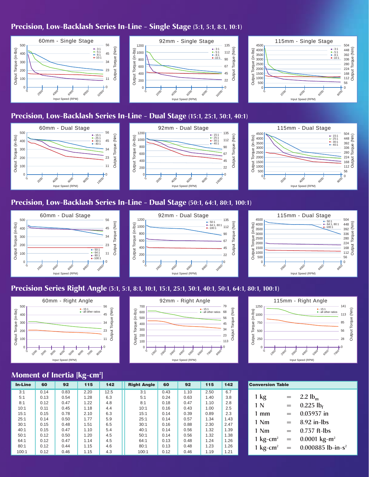#### **Precision, Low-Backlash Series In-Line - Single Stage (3:1, 5:1, 8:1, 10:1)**



## **Precision, Low-Backlash Series In-Line - Dual Stage (15:1, 25:1, 30:1, 40:1)**



Output Torque (Nm)

Torque (

Output<sup>-</sup>

 $\binom{m}{k}$ 

#### **Precision, Low-Backlash Series In-Line - Dual Stage (50:1, 64:1, 80:1, 100:1)**





Output Torque (Nm)

#### **Precision Series Right Angle (3:1, 5:1, 8:1, 10:1, 15:1, 25:1, 30:1, 40:1, 50:1, 64:1, 80:1, 100:1)**



Output Torque (in-lbs)

Output Torque

 $(in-lbs)$ 

 $\phi_{\gamma_t}$ 

 $\delta$ 

#### • - 15:1 • - all other ratios Output Torque (Nm) Output Torque (Nm) Output Torque (in-Ibs) Output Torque (in-lbs)  $\theta$  $+0$  $\circ$ Input Speed (RPM)

92mm - Right Angle



#### **Moment of Inertia [kg-cm2 ]**

| <b>In-Line</b> | 60   | 92   | 115  | 142  | <b>Right Angle</b> | 60   | 92   | 115  | 142  | <b>Conversion Table</b>      |
|----------------|------|------|------|------|--------------------|------|------|------|------|------------------------------|
| 3:1            | 0.14 | 0.83 | 2.20 | 12.5 | 3:1                | 0.43 | 1.10 | 2.50 | 6.7  |                              |
| 5:1            | 0.13 | 0.54 | 1.28 | 6.3  | 5:1                | 0.24 | 0.63 | 1.40 | 3.8  | 1 kg<br>Ξ                    |
| 8:1            | 0.12 | 0.47 | 1.22 | 4.8  | 8:1                | 0.18 | 0.47 | 1.10 | 2.8  | 1 N                          |
| 10:1           | 0.11 | 0.45 | 1.18 | 4.4  | 10:1               | 0.16 | 0.43 | 1.00 | 2.5  | Ξ                            |
| 15:1           | 0.15 | 0.78 | 2.10 | 6.3  | 15:1               | 0.14 | 0.39 | 0.89 | 2.3  | $1 \text{ mm}$<br>Ξ          |
| 25:1           | 0.14 | 0.50 | 1.77 | 5.9  | 25:1               | 0.14 | 0.57 | 1.34 | 1.43 |                              |
| 30:1           | 0.15 | 0.48 | 1.51 | 6.5  | 30:1               | 0.16 | 0.88 | 2.30 | 2.47 | 1 Nm<br>Ξ                    |
| 40:1           | 0.15 | 0.47 | 1.10 | 5.4  | 40:1               | 0.14 | 0.56 | 1.32 | 1.39 | 1 Nm<br>Ξ                    |
| 50:1           | 0.12 | 0.50 | 1.20 | 4.5  | 50:1               | 0.14 | 0.56 | 1.32 | 1.38 |                              |
| 64:1           | 0.12 | 0.47 | 1.14 | 4.5  | 64:1               | 0.13 | 0.48 | 1.24 | 1.26 | 1 $kg$ -cm <sup>2</sup><br>Ξ |
| 80:1           | 0.12 | 0.44 | 1.15 | 4.6  | 80:1               | 0.13 | 0.48 | 1.23 | 1.26 | 1 $kg$ -cm <sup>2</sup><br>Ξ |
| 100:1          | 0.12 | 0.46 | 1.15 | 4.3  | 100:1              | 0.12 | 0.46 | 1.19 | 1.21 |                              |

| <b>Conversion Table</b> |     |                                  |  |  |  |  |  |  |  |
|-------------------------|-----|----------------------------------|--|--|--|--|--|--|--|
| $1 \text{ kg}$          | $=$ | 2.2 $lb_m$                       |  |  |  |  |  |  |  |
| 1 N                     | —   | $0.225$ lb <sub>f</sub>          |  |  |  |  |  |  |  |
| $1 \text{ mm}$          | $=$ | $0.03937$ in                     |  |  |  |  |  |  |  |
| $1$ Nm                  | $=$ | $8.92$ in-lbs                    |  |  |  |  |  |  |  |
| $1$ Nm                  |     | $0.737$ ft-lbs                   |  |  |  |  |  |  |  |
| 1 $kg$ -cm <sup>2</sup> | $=$ | $0.0001 \text{ kg} - \text{m}^2$ |  |  |  |  |  |  |  |
| 1 $kg$ -cm <sup>2</sup> | $=$ | 0.000885 lb-in-s <sup>2</sup>    |  |  |  |  |  |  |  |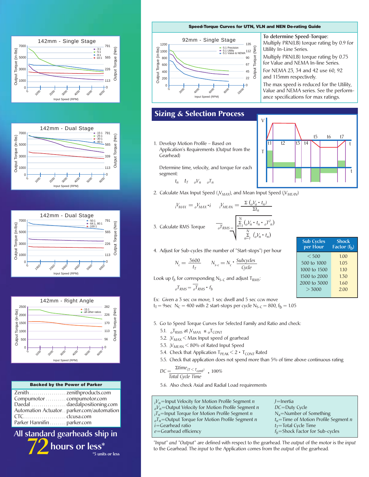







|                            | <b>Backed by the Power of Parker</b>     |
|----------------------------|------------------------------------------|
|                            |                                          |
| Compumotor compumotor.com  |                                          |
|                            | Daedal daedalpositioning.com             |
|                            | Automation Actuatorparker.com/automation |
|                            |                                          |
| Parker Hannifin parker.com |                                          |
|                            |                                          |

**\*5 units or less**

**All standard gearheads ship in 72hours or less\***

**Speed-Torque Curves for UTN, VLN and NEN De-rating Guide**



#### **To determine Speed-Torque:** Multiply PRN(LB) torque rating by 0.9 for Utility In-Line Series.

Multiply PRN(LB) torque rating by 0.75 for Value and NEMA In-line Series.

For NEMA 23, 34 and 42 use 60, 92 and 115mm respectively.

The max speed is reduced for the Utility, Value and NEMA series. See the performance specifications for max ratings.

#### **Sizing & Selection Process**

1. Develop Motion Profile – Based on Application's Requirements (*Output* from the Gearhead)

Determine time, velocity, and torque for each segment:

 $t_n$   $t_n$   $_0V_n$   $_0T_n$ 

- 2. Calculate Max Input Speed (*<sup>i</sup>* V*MAX*), and Mean Input Speed (*<sup>i</sup>* V*MEAN*) T t1 t2 t3 t4
- $iV_{MAX} = oV_{MAX} \cdot i$   $iV_{MEMN} = \frac{\sum (oV_a \cdot t_n)}{\sum t_n}$

3. Calculate RMS Torque 
$$
\overline{J}_{RMS} = \sqrt{\sum_{n=1}^{N} (bV_n \cdot t_n \cdot b_i^2)^2 \over \sum_{n=1}^{N} (bV_n \cdot t_n)}
$$

4. Adjust for Sub-cycles (the number of "Start-stops") per hour

$$
N_c = \frac{3600}{t_T} \qquad N_{s-c} = N_c \cdot \frac{Subcycles}{Cycle}
$$

Look up  $f_b$  for corresponding N<sub>S-C</sub> and adjust T<sub>RMS</sub>:

 $\overline{C_R}$  $\overline{T_R}$  $\overline{T_R}$  $\overline{T_R}$  $\overline{T_R}$  $\overline{T_R}$ 

Ex: Given a 3 sec cw move, 1 sec dwell and 5 sec ccw move

 $t_T = 9$ sec N<sub>C</sub> = 400 with 2 start-stops per cycle N<sub>S-C</sub> = 800, f<sub>b</sub> = 1.05

5. Go to Speed Torque Curves for Selected Family and Ratio and check:

- 5.1.  ${}_{\text{o}}\mathsf{T}_{\text{RMS}}$  at  ${}_{\text{i}}\mathsf{V}_{\text{MAX}} \le {}_{\text{o}}\mathsf{T}_{\text{CONT}}$
- 5.2.  $\frac{1}{10}V_{\text{MAX}}$   $<$  Max Input speed of gearhead
- 5.3.  ${}_1\!V_{\rm MEAN}$   $<$  80% of Rated Input Speed
- 5.4. Check that Application  $T_{PEAK} < 2 \cdot T_{CONT}$  Rated
- 5.5. Check that application does not spend more than 5% of time above continuous rating

$$
DC = \frac{\Sigma \text{time}_{(T < T_{cont})}}{\text{Total Cycle Time}} \cdot 100\%
$$

5.6. Also check Axial and Radial Load requirements

| $_{0}V_{n}$ =Output Velocity for Motion Profile Segment n |
|-----------------------------------------------------------|
|                                                           |
| $T_n$ =Output Torque for Motion Profile Segment <i>n</i>  |
|                                                           |
|                                                           |
|                                                           |

*"Input" and "Output"* are defined with respect to the gearhead. The *output* of the motor is the *input* to the Gearhead. The *input* to the Application comes from the *output* of the gearhead.

| $\vee$ |    |    |    |                 | $\mathfrak{t}5$ | $\mathfrak{t}\mathfrak{b}$ | t7 |   |
|--------|----|----|----|-----------------|-----------------|----------------------------|----|---|
| T      | t1 | t2 | t3 | $\overline{t4}$ |                 |                            |    |   |
|        |    |    |    |                 |                 |                            |    | t |

| <b>Sub Cycles</b><br>per Hour | Shock<br>Factor $(f_h)$ |  |  |  |  |
|-------------------------------|-------------------------|--|--|--|--|
| < 500                         | 1.00                    |  |  |  |  |
| 500 to 1000                   | 1.05                    |  |  |  |  |
| 1000 to 1500                  | 1.10                    |  |  |  |  |
| 1500 to 2000                  | 1.30                    |  |  |  |  |
| 2000 to 3000                  | 1.60                    |  |  |  |  |
| > 3000                        | 2.00                    |  |  |  |  |
|                               |                         |  |  |  |  |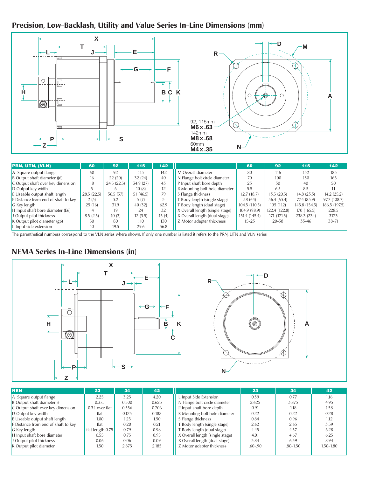## **Precision, Low-Backlash, Utility and Value Series In-Line Dimensions (mm)**



| <b>PRN, UTN, (VLN)</b>              | 60         | 92         | 115       | 142   |                                 | 60            | 92            | 115           | 142           |
|-------------------------------------|------------|------------|-----------|-------|---------------------------------|---------------|---------------|---------------|---------------|
| A Square output flange              | 60         | 92         | 115       | 142   | M Overall diameter              | 80            | 116           | 152           | 185           |
| B Output shaft diameter (j6)        | 16         | 22(20)     | 32 (24)   | 40    | N Flange bolt circle diameter   | 70            | 100           | 130           | 165           |
| C Output shaft over key dimension   | 18         | 24.5(22.5) | 34.9 (27) | 43    | P Input shaft bore depth        | 23            | 30            | 40            | 50            |
| D Output key width                  |            | 6          | 10(8)     | 12    | R Mounting bolt hole diameter   | 5.5           | 6.5           | 8.5           |               |
| E Useable output shaft length       | 28.5(22.5) | 36.5(37)   | 51(46.5)  | 79    | S Flange thickness              | 12.7(18.7)    | 13.5(20.5)    | 14.8(23.3)    | 14.2(25.2)    |
| F Distance from end of shaft to key | 2(3)       | 3.2        | 5(7)      |       | Body length (single stage)      | 58 (64)       | 56.4 (63.4)   | 77.4 (85.9)   | 97.7(108.7)   |
| G Key length                        | 25(16)     | 31.9       | 40 (32)   | 62.9  | T Body length (dual stage)      | 104.5(110.5)  | 105(112)      | 145.8 (154.3) | 186.5 (197.5) |
| H Input shaft bore diameter (E6)    | 14         | 19         | 24        | 32    | X Overall length (single stage) | 104.9 (98.9)  | 122.4 (122.8) | 170 (165.5)   | 228.5         |
| J Output pilot thickness            | 8.5(2.5)   | 10(3)      | 12(3.5)   | 15(4) | X Overall length (dual stage)   | 151.4 (145.4) | 171(171.3)    | 238.3 (234)   | 317.3         |
| K Output pilot diameter $(g6)$      | 50         | 80         | 110       | 130   | Z Motor adapter thickness       | $15 - 23$     | $20 - 38$     | $33 - 46$     | $38 - 71$     |
| L Input side extension              | 10         | 19.5       | 29.6      | 36.8  |                                 |               |               |               |               |

The parenthetical numbers correspond to the VLN series where shown. If only one number is listed it refers to the PRN, UTN and VLN series

#### **NEMA Series In-Line Dimensions (in)**



| <b>NEN</b>                          | 23               | 34    | 42    |                                 | 23          | 34           | 42            |
|-------------------------------------|------------------|-------|-------|---------------------------------|-------------|--------------|---------------|
| A Square output flange              | 2.25             | 3.25  | 4.20  | L Input Side Extension          | 0.39        | 0.77         | 1.16          |
| B Output shaft diameter #           | 0.375            | 0.500 | 0.625 | N Flange bolt circle diameter   | 2.625       | 3.875        | 4.95          |
| C Output shaft over key dimension   | 0.34 over flat   | 0.556 | 0.706 | P Input shaft bore depth        | 0.91        | 1.18         | 1.58          |
| D Output key width                  | flat             | 0.125 | 0.188 | R Mounting bolt hole diameter   | 0.22        | 0.22         | 0.28          |
| E Useable output shaft length       | 1.00             | 1.25  | 1.50  | S Flange thickness              | 0.84        | 0.96         | 1.12          |
| F Distance from end of shaft to key | flat             | 0.20  | 0.21  | T Body length (single stage)    | 2.62        | 2.65         | 3.59          |
| G Key length                        | flat length 0.75 | 0.79  | 0.98  | T Body length (dual stage)      | 4.45        | 4.57         | 6.28          |
| H Input shaft bore diameter         | 0.55             | 0.75  | 0.95  | X Overall length (single stage) | 4.01        | 4.67         | 6.25          |
| J Output pilot thickness            | 0.06             | 0.06  | 0.09  | X Overall length (dual stage)   | 5.84        | 6.59         | 8.94          |
| K Output pilot diameter             | 1.50             | 2.875 | 2.185 | Z Motor adapter thickness       | $.60 - .90$ | $.80 - 1.50$ | $1.30 - 1.80$ |
|                                     |                  |       |       |                                 |             |              |               |